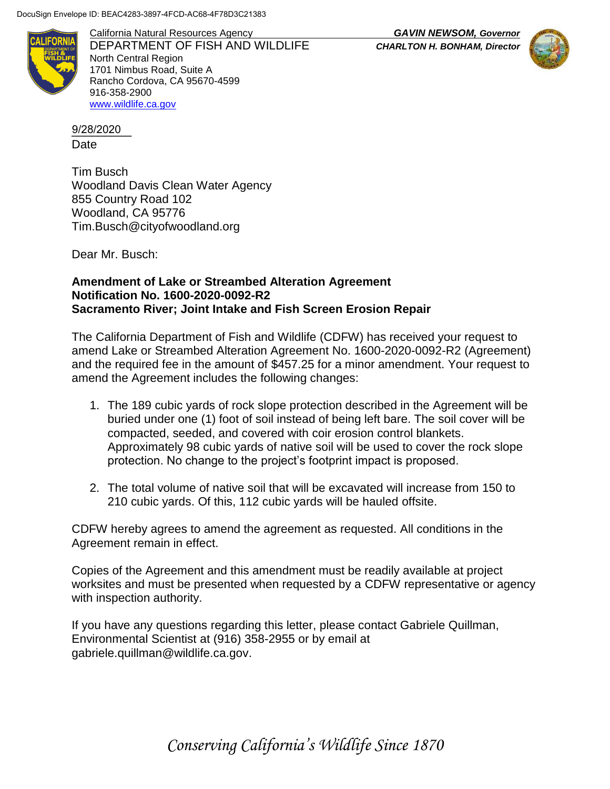DocuSign Envelope ID: BEAC4283-3897-4FCD-AC68-4F78D3C21383



California Natural Resources Agency *GAVIN NEWSOM, Governor* DEPARTMENT OF FISH AND WILDLIFE *CHARLTON H. BONHAM, Director* North Central Region 1701 Nimbus Road, Suite A Rancho Cordova, CA 95670-4599 916-358-2900 [www.wildlife.ca.gov](http://www.wildlife.ca.gov/)

\_\_\_\_\_\_\_\_\_ 9/28/2020Date

Tim Busch Woodland Davis Clean Water Agency 855 Country Road 102 Woodland, CA 95776 Tim.Busch@cityofwoodland.org

Dear Mr. Busch:

## **Amendment of Lake or Streambed Alteration Agreement Notification No. 1600-2020-0092-R2 Sacramento River; Joint Intake and Fish Screen Erosion Repair**

The California Department of Fish and Wildlife (CDFW) has received your request to amend Lake or Streambed Alteration Agreement No. 1600-2020-0092-R2 (Agreement) and the required fee in the amount of \$457.25 for a minor amendment. Your request to amend the Agreement includes the following changes:

- 1. The 189 cubic yards of rock slope protection described in the Agreement will be buried under one (1) foot of soil instead of being left bare. The soil cover will be compacted, seeded, and covered with coir erosion control blankets. Approximately 98 cubic yards of native soil will be used to cover the rock slope protection. No change to the project's footprint impact is proposed.
- 2. The total volume of native soil that will be excavated will increase from 150 to 210 cubic yards. Of this, 112 cubic yards will be hauled offsite.

CDFW hereby agrees to amend the agreement as requested. All conditions in the Agreement remain in effect.

Copies of the Agreement and this amendment must be readily available at project worksites and must be presented when requested by a CDFW representative or agency with inspection authority.

If you have any questions regarding this letter, please contact Gabriele Quillman, Environmental Scientist at (916) 358-2955 or by email at gabriele.quillman@wildlife.ca.gov.

*Conserving California's Wildlife Since 1870*